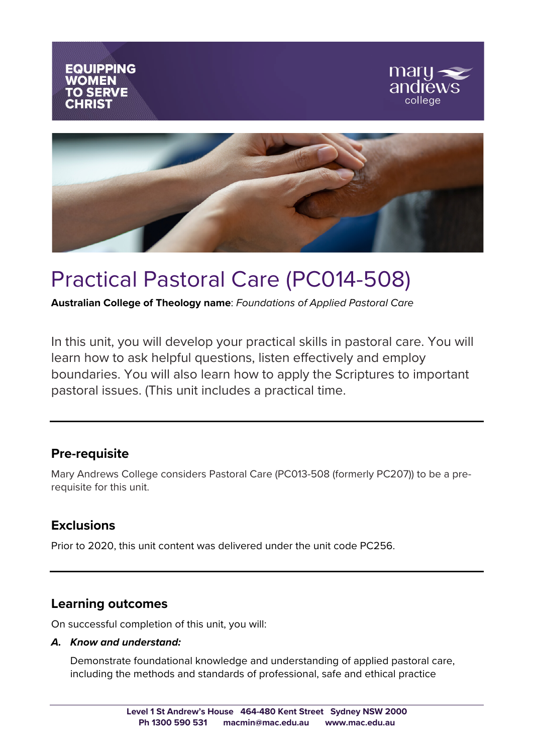

# Practical Pastoral Care (PC014-508)

**Australian College of Theology name**: *Foundations of Applied Pastoral Care*

In this unit, you will develop your practical skills in pastoral care. You will learn how to ask helpful questions, listen effectively and employ boundaries. You will also learn how to apply the Scriptures to important pastoral issues. (This unit includes a practical time.

# **Pre-requisite**

Mary Andrews College considers Pastoral Care (PC013-508 (formerly PC207)) to be a prerequisite for this unit.

# **Exclusions**

Prior to 2020, this unit content was delivered under the unit code PC256.

## **Learning outcomes**

On successful completion of this unit, you will:

#### *A. Know and understand:*

Demonstrate foundational knowledge and understanding of applied pastoral care, including the methods and standards of professional, safe and ethical practice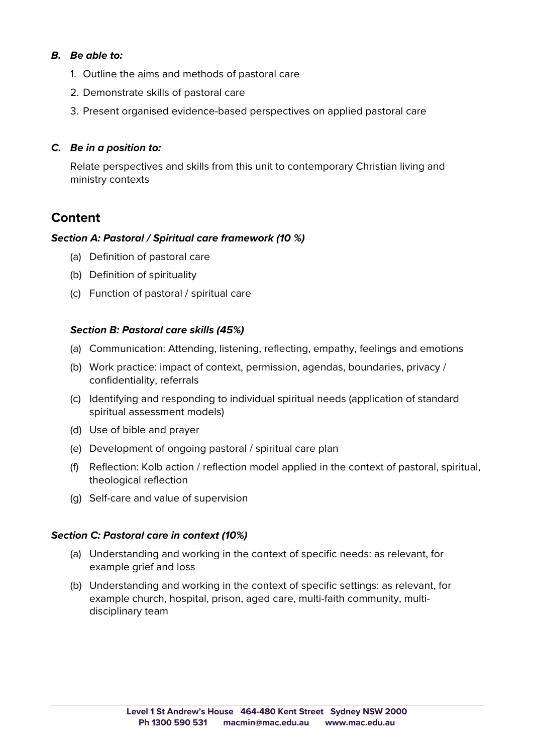#### *B. Be able to:*

- 1. Outline the aims and methods of pastoral care
- 2. Demonstrate skills of pastoral care
- 3. Present organised evidence-based perspectives on applied pastoral care

#### *C. Be in a position to:*

Relate perspectives and skills from this unit to contemporary Christian living and ministry contexts

## **Content**

#### *Section A: Pastoral / Spiritual care framework (10 %)*

- (a) Definition of pastoral care
- (b) Definition of spirituality
- (c) Function of pastoral / spiritual care

#### *Section B: Pastoral care skills (45%)*

- (a) Communication: Attending, listening, reflecting, empathy, feelings and emotions
- (b) Work practice: impact of context, permission, agendas, boundaries, privacy / confidentiality, referrals
- (c) Identifying and responding to individual spiritual needs (application of standard spiritual assessment models)
- (d) Use of bible and prayer
- (e) Development of ongoing pastoral / spiritual care plan
- (f) Reflection: Kolb action / reflection model applied in the context of pastoral, spiritual, theological reflection
- (g) Self-care and value of supervision

#### *Section C: Pastoral care in context (10%)*

- (a) Understanding and working in the context of specific needs: as relevant, for example grief and loss
- (b) Understanding and working in the context of specific settings: as relevant, for example church, hospital, prison, aged care, multi-faith community, multidisciplinary team